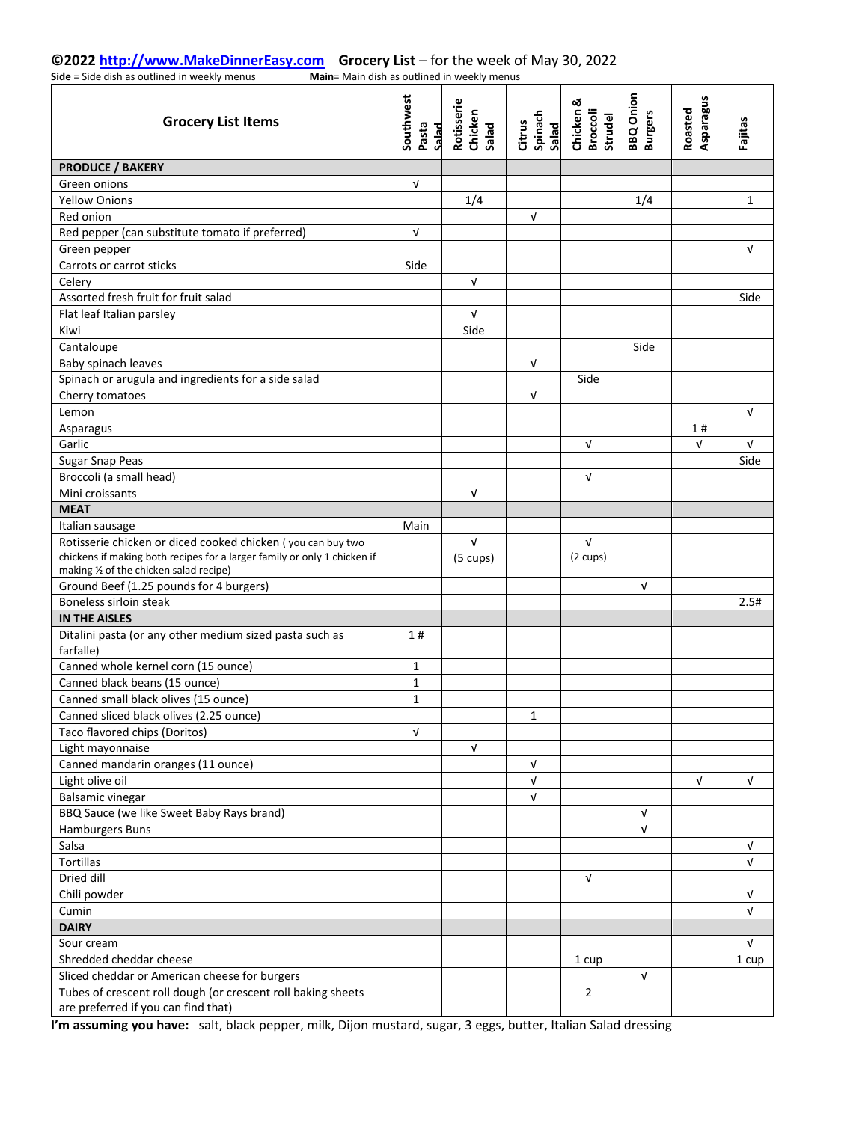#### **©2022 [http://www.MakeDinnerEasy.com](http://www.makedinnereasy.com/) Grocery List** – for the week of May 30, 2022 **Side** = Side dish as outlined in weekly menus

| <b>Grocery List Items</b>                                                                           | Southwest<br>Pasta<br>Salad | Rotisserie<br>Chicken<br>Salad | Spinach<br>Salad<br>Citrus | ಯ<br>Chicken A<br><b>Broccoli</b><br>Strudel | <b>BBQ</b> Onion<br><b>Burgers</b> | Asparagus<br>Roasted | Fajitas |
|-----------------------------------------------------------------------------------------------------|-----------------------------|--------------------------------|----------------------------|----------------------------------------------|------------------------------------|----------------------|---------|
| <b>PRODUCE / BAKERY</b>                                                                             |                             |                                |                            |                                              |                                    |                      |         |
| Green onions                                                                                        | $\sqrt{ }$                  |                                |                            |                                              |                                    |                      |         |
| <b>Yellow Onions</b>                                                                                |                             | 1/4                            |                            |                                              | 1/4                                |                      | 1       |
| Red onion                                                                                           |                             |                                | $\sqrt{ }$                 |                                              |                                    |                      |         |
| Red pepper (can substitute tomato if preferred)                                                     | $\sqrt{ }$                  |                                |                            |                                              |                                    |                      |         |
| Green pepper                                                                                        |                             |                                |                            |                                              |                                    |                      | V       |
| Carrots or carrot sticks                                                                            | Side                        |                                |                            |                                              |                                    |                      |         |
| Celery                                                                                              |                             | $\sqrt{ }$                     |                            |                                              |                                    |                      |         |
| Assorted fresh fruit for fruit salad                                                                |                             |                                |                            |                                              |                                    |                      | Side    |
| Flat leaf Italian parsley                                                                           |                             | $\sqrt{ }$                     |                            |                                              |                                    |                      |         |
| Kiwi                                                                                                |                             | Side                           |                            |                                              |                                    |                      |         |
| Cantaloupe                                                                                          |                             |                                |                            |                                              | Side                               |                      |         |
| Baby spinach leaves                                                                                 |                             |                                | $\mathbf{v}$               |                                              |                                    |                      |         |
| Spinach or arugula and ingredients for a side salad                                                 |                             |                                |                            | Side                                         |                                    |                      |         |
| Cherry tomatoes                                                                                     |                             |                                | V                          |                                              |                                    |                      |         |
| Lemon                                                                                               |                             |                                |                            |                                              |                                    |                      | V       |
| Asparagus                                                                                           |                             |                                |                            |                                              |                                    | 1#                   |         |
| Garlic                                                                                              |                             |                                |                            | $\sqrt{ }$                                   |                                    | V                    | V       |
| <b>Sugar Snap Peas</b>                                                                              |                             |                                |                            |                                              |                                    |                      | Side    |
| Broccoli (a small head)                                                                             |                             |                                |                            | $\sqrt{ }$                                   |                                    |                      |         |
| Mini croissants                                                                                     |                             | $\sqrt{ }$                     |                            |                                              |                                    |                      |         |
| <b>MEAT</b>                                                                                         |                             |                                |                            |                                              |                                    |                      |         |
| Italian sausage                                                                                     | Main                        |                                |                            |                                              |                                    |                      |         |
| Rotisserie chicken or diced cooked chicken (you can buy two                                         |                             | $\mathbf{v}$                   |                            | $\sqrt{ }$                                   |                                    |                      |         |
| chickens if making both recipes for a larger family or only 1 chicken if                            |                             | $(5 \text{ cups})$             |                            | $(2 \text{ cups})$                           |                                    |                      |         |
| making 1/2 of the chicken salad recipe)                                                             |                             |                                |                            |                                              |                                    |                      |         |
| Ground Beef (1.25 pounds for 4 burgers)                                                             |                             |                                |                            |                                              | $\sqrt{ }$                         |                      |         |
| Boneless sirloin steak                                                                              |                             |                                |                            |                                              |                                    |                      | 2.5#    |
| <b>IN THE AISLES</b>                                                                                |                             |                                |                            |                                              |                                    |                      |         |
| Ditalini pasta (or any other medium sized pasta such as<br>farfalle)                                | 1#                          |                                |                            |                                              |                                    |                      |         |
| Canned whole kernel corn (15 ounce)                                                                 | $\mathbf{1}$                |                                |                            |                                              |                                    |                      |         |
| Canned black beans (15 ounce)                                                                       | $\mathbf{1}$                |                                |                            |                                              |                                    |                      |         |
| Canned small black olives (15 ounce)                                                                | 1                           |                                |                            |                                              |                                    |                      |         |
| Canned sliced black olives (2.25 ounce)                                                             |                             |                                | 1                          |                                              |                                    |                      |         |
| Taco flavored chips (Doritos)                                                                       | $\sqrt{ }$                  |                                |                            |                                              |                                    |                      |         |
| Light mayonnaise                                                                                    |                             | $\sqrt{ }$                     |                            |                                              |                                    |                      |         |
| Canned mandarin oranges (11 ounce)                                                                  |                             |                                | $\sqrt{ }$                 |                                              |                                    |                      |         |
| Light olive oil                                                                                     |                             |                                | $\sqrt{ }$                 |                                              |                                    | V                    | V       |
| <b>Balsamic vinegar</b>                                                                             |                             |                                | $\sqrt{ }$                 |                                              |                                    |                      |         |
| BBQ Sauce (we like Sweet Baby Rays brand)                                                           |                             |                                |                            |                                              | $\sqrt{ }$                         |                      |         |
| Hamburgers Buns                                                                                     |                             |                                |                            |                                              | $\sqrt{ }$                         |                      |         |
| Salsa                                                                                               |                             |                                |                            |                                              |                                    |                      | V       |
| <b>Tortillas</b>                                                                                    |                             |                                |                            |                                              |                                    |                      | V       |
| Dried dill                                                                                          |                             |                                |                            | $\sqrt{ }$                                   |                                    |                      |         |
| Chili powder                                                                                        |                             |                                |                            |                                              |                                    |                      | V       |
| Cumin                                                                                               |                             |                                |                            |                                              |                                    |                      | V       |
| <b>DAIRY</b>                                                                                        |                             |                                |                            |                                              |                                    |                      |         |
|                                                                                                     |                             |                                |                            |                                              |                                    |                      | V       |
| Sour cream<br>Shredded cheddar cheese                                                               |                             |                                |                            |                                              |                                    |                      |         |
|                                                                                                     |                             |                                |                            | 1 cup                                        |                                    |                      | 1 cup   |
| Sliced cheddar or American cheese for burgers                                                       |                             |                                |                            | $\overline{2}$                               | $\sqrt{ }$                         |                      |         |
| Tubes of crescent roll dough (or crescent roll baking sheets<br>are preferred if you can find that) |                             |                                |                            |                                              |                                    |                      |         |

**I'm assuming you have:** salt, black pepper, milk, Dijon mustard, sugar, 3 eggs, butter, Italian Salad dressing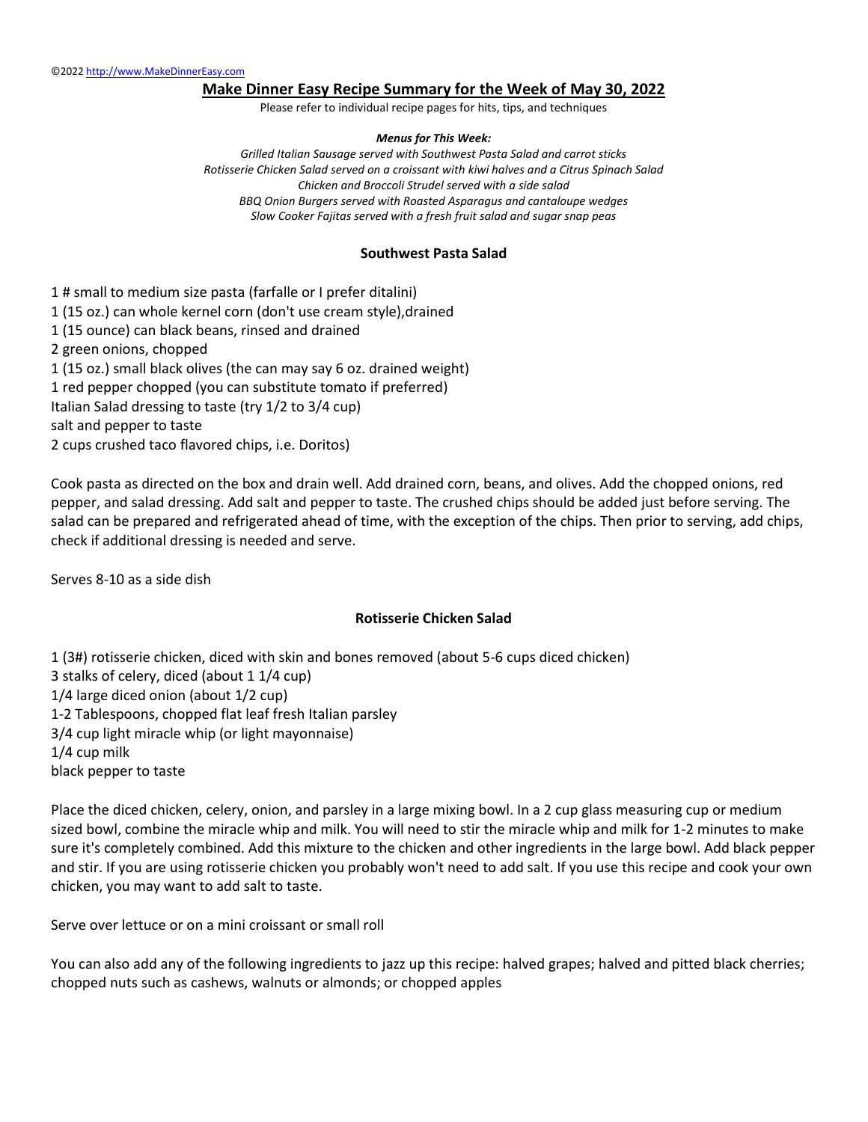### **Make Dinner Easy Recipe Summary for the Week of May 30, 2022**

Please refer to individual recipe pages for hits, tips, and techniques

#### *Menus for This Week:*

*Grilled Italian Sausage served with Southwest Pasta Salad and carrot sticks Rotisserie Chicken Salad served on a croissant with kiwi halves and a Citrus Spinach Salad Chicken and Broccoli Strudel served with a side salad BBQ Onion Burgers served with Roasted Asparagus and cantaloupe wedges Slow Cooker Fajitas served with a fresh fruit salad and sugar snap peas*

### **Southwest Pasta Salad**

1 # small to medium size pasta (farfalle or I prefer ditalini) 1 (15 oz.) can whole kernel corn (don't use cream style),drained 1 (15 ounce) can black beans, rinsed and drained 2 green onions, chopped 1 (15 oz.) small black olives (the can may say 6 oz. drained weight) 1 red pepper chopped (you can substitute tomato if preferred) Italian Salad dressing to taste (try 1/2 to 3/4 cup) salt and pepper to taste 2 cups crushed taco flavored chips, i.e. Doritos)

Cook pasta as directed on the box and drain well. Add drained corn, beans, and olives. Add the chopped onions, red pepper, and salad dressing. Add salt and pepper to taste. The crushed chips should be added just before serving. The salad can be prepared and refrigerated ahead of time, with the exception of the chips. Then prior to serving, add chips, check if additional dressing is needed and serve.

Serves 8-10 as a side dish

#### **Rotisserie Chicken Salad**

1 (3#) rotisserie chicken, diced with skin and bones removed (about 5-6 cups diced chicken) 3 stalks of celery, diced (about 1 1/4 cup) 1/4 large diced onion (about 1/2 cup) 1-2 Tablespoons, chopped flat leaf fresh Italian parsley 3/4 cup light miracle whip (or light mayonnaise) 1/4 cup milk black pepper to taste

Place the diced chicken, celery, onion, and parsley in a large mixing bowl. In a 2 cup glass measuring cup or medium sized bowl, combine the miracle whip and milk. You will need to stir the miracle whip and milk for 1-2 minutes to make sure it's completely combined. Add this mixture to the chicken and other ingredients in the large bowl. Add black pepper and stir. If you are using rotisserie chicken you probably won't need to add salt. If you use this recipe and cook your own chicken, you may want to add salt to taste.

Serve over lettuce or on a mini croissant or small roll

You can also add any of the following ingredients to jazz up this recipe: halved grapes; halved and pitted black cherries; chopped nuts such as cashews, walnuts or almonds; or chopped apples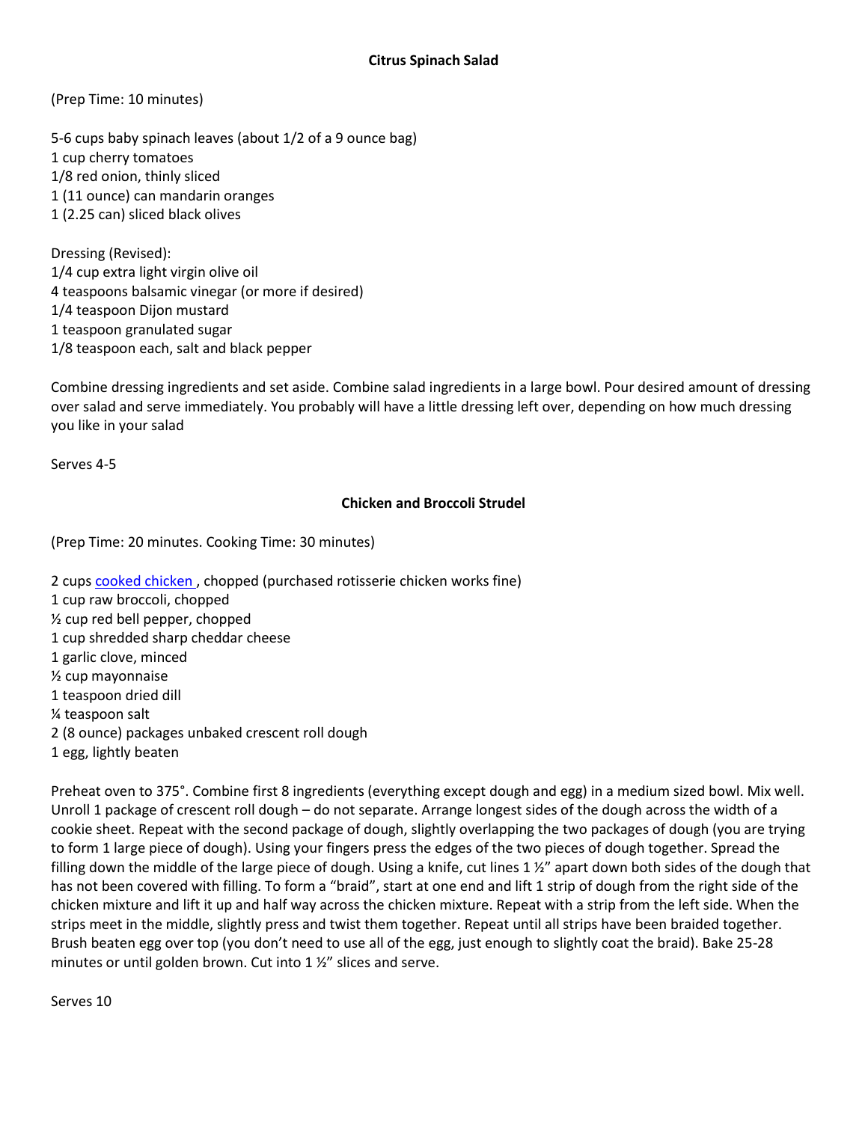(Prep Time: 10 minutes)

5-6 cups baby spinach leaves (about 1/2 of a 9 ounce bag) 1 cup cherry tomatoes 1/8 red onion, thinly sliced 1 (11 ounce) can mandarin oranges 1 (2.25 can) sliced black olives

Dressing (Revised): 1/4 cup extra light virgin olive oil 4 teaspoons balsamic vinegar (or more if desired) 1/4 teaspoon Dijon mustard 1 teaspoon granulated sugar 1/8 teaspoon each, salt and black pepper

Combine dressing ingredients and set aside. Combine salad ingredients in a large bowl. Pour desired amount of dressing over salad and serve immediately. You probably will have a little dressing left over, depending on how much dressing you like in your salad

Serves 4-5

# **Chicken and Broccoli Strudel**

(Prep Time: 20 minutes. Cooking Time: 30 minutes)

2 cups cooked chicken , chopped (purchased rotisserie chicken works fine) 1 cup raw broccoli, chopped ½ cup red bell pepper, chopped 1 cup shredded sharp cheddar cheese 1 garlic clove, minced ½ cup mayonnaise 1 teaspoon dried dill ¼ teaspoon salt 2 (8 ounce) packages unbaked crescent roll dough 1 egg, lightly beaten

Preheat oven to 375°. Combine first 8 ingredients (everything except dough and egg) in a medium sized bowl. Mix well. Unroll 1 package of crescent roll dough – do not separate. Arrange longest sides of the dough across the width of a cookie sheet. Repeat with the second package of dough, slightly overlapping the two packages of dough (you are trying to form 1 large piece of dough). Using your fingers press the edges of the two pieces of dough together. Spread the filling down the middle of the large piece of dough. Using a knife, cut lines 1 ½" apart down both sides of the dough that has not been covered with filling. To form a "braid", start at one end and lift 1 strip of dough from the right side of the chicken mixture and lift it up and half way across the chicken mixture. Repeat with a strip from the left side. When the strips meet in the middle, slightly press and twist them together. Repeat until all strips have been braided together. Brush beaten egg over top (you don't need to use all of the egg, just enough to slightly coat the braid). Bake 25-28 minutes or until golden brown. Cut into 1 ½" slices and serve.

Serves 10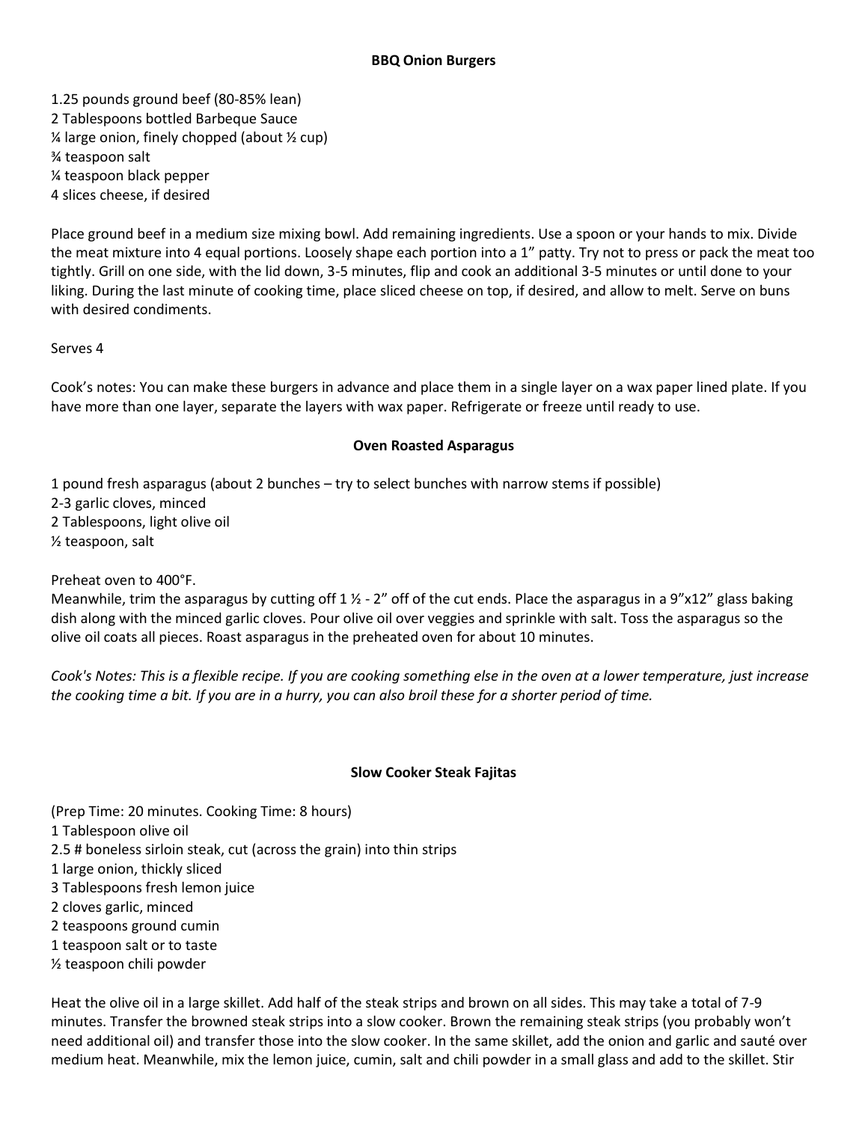1.25 pounds ground beef (80-85% lean) 2 Tablespoons bottled Barbeque Sauce  $\frac{1}{2}$  large onion, finely chopped (about  $\frac{1}{2}$  cup) ¾ teaspoon salt ¼ teaspoon black pepper 4 slices cheese, if desired

Place ground beef in a medium size mixing bowl. Add remaining ingredients. Use a spoon or your hands to mix. Divide the meat mixture into 4 equal portions. Loosely shape each portion into a 1" patty. Try not to press or pack the meat too tightly. Grill on one side, with the lid down, 3-5 minutes, flip and cook an additional 3-5 minutes or until done to your liking. During the last minute of cooking time, place sliced cheese on top, if desired, and allow to melt. Serve on buns with desired condiments.

Serves 4

Cook's notes: You can make these burgers in advance and place them in a single layer on a wax paper lined plate. If you have more than one layer, separate the layers with wax paper. Refrigerate or freeze until ready to use.

## **Oven Roasted Asparagus**

1 pound fresh asparagus (about 2 bunches – try to select bunches with narrow stems if possible) 2-3 garlic cloves, minced 2 Tablespoons, light olive oil ½ teaspoon, salt

Preheat oven to 400°F.

Meanwhile, trim the asparagus by cutting off  $1\frac{1}{2}$  - 2" off of the cut ends. Place the asparagus in a 9"x12" glass baking dish along with the minced garlic cloves. Pour olive oil over veggies and sprinkle with salt. Toss the asparagus so the olive oil coats all pieces. Roast asparagus in the preheated oven for about 10 minutes.

*Cook's Notes: This is a flexible recipe. If you are cooking something else in the oven at a lower temperature, just increase the cooking time a bit. If you are in a hurry, you can also broil these for a shorter period of time.*

## **Slow Cooker Steak Fajitas**

(Prep Time: 20 minutes. Cooking Time: 8 hours) 1 Tablespoon olive oil 2.5 # boneless sirloin steak, cut (across the grain) into thin strips 1 large onion, thickly sliced 3 Tablespoons fresh lemon juice 2 cloves garlic, minced 2 teaspoons ground cumin 1 teaspoon salt or to taste ½ teaspoon chili powder

Heat the olive oil in a large skillet. Add half of the steak strips and brown on all sides. This may take a total of 7-9 minutes. Transfer the browned steak strips into a slow cooker. Brown the remaining steak strips (you probably won't need additional oil) and transfer those into the slow cooker. In the same skillet, add the onion and garlic and sauté over medium heat. Meanwhile, mix the lemon juice, cumin, salt and chili powder in a small glass and add to the skillet. Stir